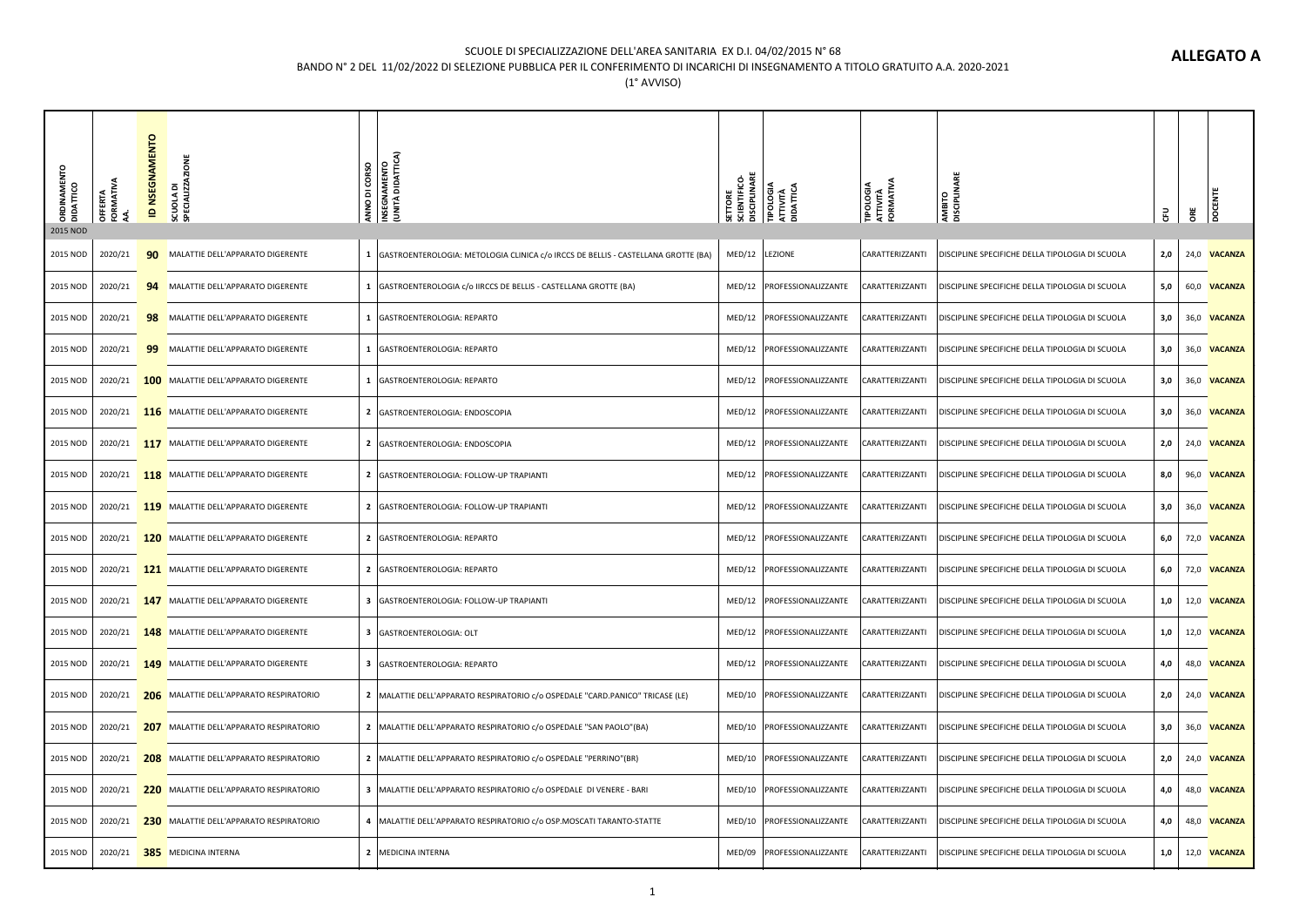### SCUOLE DI SPECIALIZZAZIONE DELL'AREA SANITARIA EX D.I. 04/02/2015 N° 68

## BANDO N° 2 DEL 11/02/2022 DI SELEZIONE PUBBLICA PER IL CONFERIMENTO DI INCARICHI DI INSEGNAMENTO A TITOLO GRATUITO A.A. 2020-2021

| ORDINAMENTO<br>DIDATTICO<br>2015 NOD | <b>OFFERTA</b><br>FORMATIVA | <b>ID NSEGNAMENTO</b> | SCUOLA DI<br>SPECIALIZZAZIONE                       | ANNO DI CORSO<br>INSEGNAMENTO<br>(UNITÀ DIDATTICA)                                  | <b>SETTORE</b><br>SCIENTIFICO-<br>DISCIPLINARE | TIPOLOGIA<br>ATTIVITÀ<br>DIDATTICA | <b>TIPOLOGIA<br/>ATTIVITÀ<br/>FORMATIVA</b> | AMBITO<br>DISCIPLINARE                          | 룹     | 8Ë | <sub>Doc</sub>      |
|--------------------------------------|-----------------------------|-----------------------|-----------------------------------------------------|-------------------------------------------------------------------------------------|------------------------------------------------|------------------------------------|---------------------------------------------|-------------------------------------------------|-------|----|---------------------|
| 2015 NOD                             | 2020/21                     |                       | 90 MALATTIE DELL'APPARATO DIGERENTE                 | 1 GASTROENTEROLOGIA: METOLOGIA CLINICA c/o IRCCS DE BELLIS - CASTELLANA GROTTE (BA) | MED/12                                         | LEZIONE                            | CARATTERIZZANTI                             | DISCIPLINE SPECIFICHE DELLA TIPOLOGIA DI SCUOLA | 2,0   |    | 24,0 VACANZA        |
| 2015 NOD                             | 2020/21                     |                       | 94 MALATTIE DELL'APPARATO DIGERENTE                 | 1   GASTROENTEROLOGIA c/o IIRCCS DE BELLIS - CASTELLANA GROTTE (BA)                 | MED/12                                         | PROFESSIONALIZZANTE                | CARATTERIZZANTI                             | DISCIPLINE SPECIFICHE DELLA TIPOLOGIA DI SCUOLA | 5,0   |    | 60,0 <b>VACANZA</b> |
| 2015 NOD                             | 2020/21                     |                       | 98 MALATTIE DELL'APPARATO DIGERENTE                 | 1   GASTROENTEROLOGIA: REPARTO                                                      | MED/12                                         | PROFESSIONALIZZANTE                | CARATTERIZZANTI                             | DISCIPLINE SPECIFICHE DELLA TIPOLOGIA DI SCUOLA | 3,0   |    | 36,0 <b>VACANZA</b> |
| 2015 NOD                             | 2020/21                     |                       | 99 MALATTIE DELL'APPARATO DIGERENTE                 | 1   GASTROENTEROLOGIA: REPARTO                                                      | MED/12                                         | PROFESSIONALIZZANTE                | CARATTERIZZANTI                             | DISCIPLINE SPECIFICHE DELLA TIPOLOGIA DI SCUOLA | 3,0   |    | 36,0 VACANZA        |
| 2015 NOD                             |                             |                       | 2020/21 <b>100</b> MALATTIE DELL'APPARATO DIGERENTE | 1   GASTROENTEROLOGIA: REPARTO                                                      | MED/12                                         | PROFESSIONALIZZANTE                | CARATTERIZZANTI                             | DISCIPLINE SPECIFICHE DELLA TIPOLOGIA DI SCUOLA | 3,0   |    | 36,0 VACANZA        |
| 2015 NOD                             |                             |                       | 2020/21 116 MALATTIE DELL'APPARATO DIGERENTE        | 2   GASTROENTEROLOGIA: ENDOSCOPIA                                                   | MED/12                                         | PROFESSIONALIZZANTE                | CARATTERIZZANTI                             | DISCIPLINE SPECIFICHE DELLA TIPOLOGIA DI SCUOLA | 3,0   |    | 36,0 <b>VACANZA</b> |
| 2015 NOD                             |                             |                       | 2020/21 117 MALATTIE DELL'APPARATO DIGERENTE        | 2 GASTROENTEROLOGIA: ENDOSCOPIA                                                     | MED/12                                         | PROFESSIONALIZZANTE                | CARATTERIZZANTI                             | DISCIPLINE SPECIFICHE DELLA TIPOLOGIA DI SCUOLA | 2,0   |    | 24,0 VACANZA        |
| 2015 NOD                             |                             |                       | 2020/21 118 MALATTIE DELL'APPARATO DIGERENTE        | 2 GASTROENTEROLOGIA: FOLLOW-UP TRAPIANTI                                            | MED/12                                         | PROFESSIONALIZZANTE                | CARATTERIZZANTI                             | DISCIPLINE SPECIFICHE DELLA TIPOLOGIA DI SCUOLA | 8,0   |    | 96,0 VACANZA        |
| 2015 NOD                             |                             |                       | 2020/21 119 MALATTIE DELL'APPARATO DIGERENTE        | 2 GASTROENTEROLOGIA: FOLLOW-UP TRAPIANTI                                            | MED/12                                         | PROFESSIONALIZZANTE                | CARATTERIZZANTI                             | DISCIPLINE SPECIFICHE DELLA TIPOLOGIA DI SCUOLA | 3,0   |    | 36,0 VACANZA        |
| 2015 NOD                             |                             |                       | 2020/21 120 MALATTIE DELL'APPARATO DIGERENTE        | 2 GASTROENTEROLOGIA: REPARTO                                                        | MED/12                                         | PROFESSIONALIZZANTE                | CARATTERIZZANTI                             | DISCIPLINE SPECIFICHE DELLA TIPOLOGIA DI SCUOLA | 6,0   |    | 72,0 VACANZA        |
| 2015 NOD                             |                             |                       | 2020/21 121 MALATTIE DELL'APPARATO DIGERENTE        | 2 GASTROENTEROLOGIA: REPARTO                                                        | MED/12                                         | PROFESSIONALIZZANTE                | CARATTERIZZANTI                             | DISCIPLINE SPECIFICHE DELLA TIPOLOGIA DI SCUOLA | 6,0   |    | 72,0 VACANZA        |
| 2015 NOD                             |                             |                       | 2020/21 147 MALATTIE DELL'APPARATO DIGERENTE        | 3 GASTROENTEROLOGIA: FOLLOW-UP TRAPIANTI                                            | MED/12                                         | PROFESSIONALIZZANTE                | CARATTERIZZANTI                             | DISCIPLINE SPECIFICHE DELLA TIPOLOGIA DI SCUOLA | $1,0$ |    | 12,0 VACANZA        |
| 2015 NOD                             |                             |                       | 2020/21 148 MALATTIE DELL'APPARATO DIGERENTE        | 3 GASTROENTEROLOGIA: OLT                                                            | MED/12                                         | PROFESSIONALIZZANTE                | CARATTERIZZANTI                             | DISCIPLINE SPECIFICHE DELLA TIPOLOGIA DI SCUOLA | 1,0   |    | 12,0 VACANZA        |
| 2015 NOD                             |                             |                       | 2020/21 149 MALATTIE DELL'APPARATO DIGERENTE        | 3 GASTROENTEROLOGIA: REPARTO                                                        | MED/12                                         | PROFESSIONALIZZANTE                | CARATTERIZZANTI                             | DISCIPLINE SPECIFICHE DELLA TIPOLOGIA DI SCUOLA | 4,0   |    | 48,0 VACANZA        |
| 2015 NOD                             |                             |                       | 2020/21 206 MALATTIE DELL'APPARATO RESPIRATORIO     | 2   MALATTIE DELL'APPARATO RESPIRATORIO c/o OSPEDALE "CARD.PANICO" TRICASE (LE)     |                                                | MED/10 PROFESSIONALIZZANTE         | CARATTERIZZANTI                             | DISCIPLINE SPECIFICHE DELLA TIPOLOGIA DI SCUOLA | 2,0   |    | 24,0 VACANZA        |
| 2015 NOD                             |                             |                       | 2020/21 207 MALATTIE DELL'APPARATO RESPIRATORIO     | 2   MALATTIE DELL'APPARATO RESPIRATORIO c/o OSPEDALE "SAN PAOLO" (BA)               | MED/10                                         | PROFESSIONALIZZANTE                | CARATTERIZZANTI                             | DISCIPLINE SPECIFICHE DELLA TIPOLOGIA DI SCUOLA | 3,0   |    | 36,0 <b>VACANZA</b> |
| 2015 NOD                             |                             |                       | 2020/21 208 MALATTIE DELL'APPARATO RESPIRATORIO     | 2   MALATTIE DELL'APPARATO RESPIRATORIO c/o OSPEDALE "PERRINO"(BR)                  | MED/10                                         | PROFESSIONALIZZANTE                | CARATTERIZZANTI                             | DISCIPLINE SPECIFICHE DELLA TIPOLOGIA DI SCUOLA | 2,0   |    | 24,0 VACANZA        |
| 2015 NOD                             |                             |                       | 2020/21 220 MALATTIE DELL'APPARATO RESPIRATORIO     | 3   MALATTIE DELL'APPARATO RESPIRATORIO c/o OSPEDALE DI VENERE - BARI               | MED/10                                         | PROFESSIONALIZZANTE                | CARATTERIZZANTI                             | DISCIPLINE SPECIFICHE DELLA TIPOLOGIA DI SCUOLA | 4,0   |    | 48,0 VACANZA        |
| 2015 NOD                             |                             |                       | 2020/21 230 MALATTIE DELL'APPARATO RESPIRATORIO     | 4   MALATTIE DELL'APPARATO RESPIRATORIO c/o OSP.MOSCATI TARANTO-STATTE              | MED/10                                         | PROFESSIONALIZZANTE                | CARATTERIZZANTI                             | DISCIPLINE SPECIFICHE DELLA TIPOLOGIA DI SCUOLA | 4,0   |    | 48,0 VACANZA        |
| 2015 NOD                             |                             |                       | 2020/21 385 MEDICINA INTERNA                        | 2 MEDICINA INTERNA                                                                  | MED/09                                         | PROFESSIONALIZZANTE                | CARATTERIZZANTI                             | DISCIPLINE SPECIFICHE DELLA TIPOLOGIA DI SCUOLA | 1,0   |    | 12,0 VACANZA        |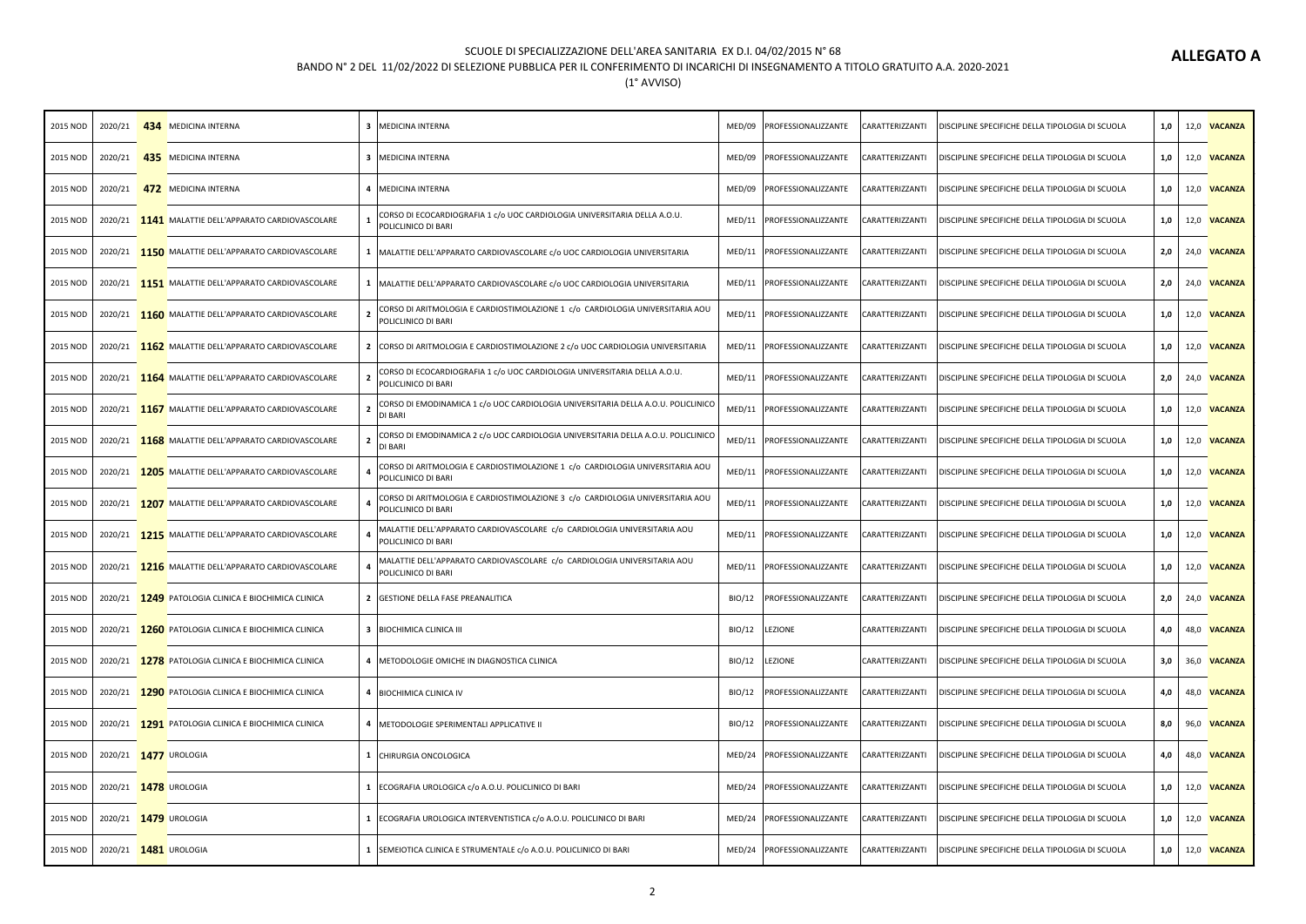#### SCUOLE DI SPECIALIZZAZIONE DELL'AREA SANITARIA EX D.I. 04/02/2015 N° 68

## BANDO N° 2 DEL 11/02/2022 DI SELEZIONE PUBBLICA PER IL CONFERIMENTO DI INCARICHI DI INSEGNAMENTO A TITOLO GRATUITO A.A. 2020-2021

| 2015 NOD |                                | 2020/21 434 MEDICINA INTERNA                        | 3 MEDICINA INTERNA                                                                                       | MED/09 | PROFESSIONALIZZANTE          | CARATTERIZZANTI | DISCIPLINE SPECIFICHE DELLA TIPOLOGIA DI SCUOLA | 1,0 | 12,0 VACANZA        |
|----------|--------------------------------|-----------------------------------------------------|----------------------------------------------------------------------------------------------------------|--------|------------------------------|-----------------|-------------------------------------------------|-----|---------------------|
| 2015 NOD |                                | 2020/21 435 MEDICINA INTERNA                        | 3 MEDICINA INTERNA                                                                                       | MED/09 | PROFESSIONALIZZANTE          | CARATTERIZZANTI | DISCIPLINE SPECIFICHE DELLA TIPOLOGIA DI SCUOLA | 1,0 | 12,0 VACANZA        |
| 2015 NOD |                                | 2020/21 472 MEDICINA INTERNA                        | 4 MEDICINA INTERNA                                                                                       | MED/09 | PROFESSIONALIZZANTE          | CARATTERIZZANTI | DISCIPLINE SPECIFICHE DELLA TIPOLOGIA DI SCUOLA | 1,0 | 12,0 VACANZA        |
| 2015 NOD |                                | 2020/21 1141 MALATTIE DELL'APPARATO CARDIOVASCOLARE | CORSO DI ECOCARDIOGRAFIA 1 c/o UOC CARDIOLOGIA UNIVERSITARIA DELLA A.O.U.<br>POLICLINICO DI BARI         | MED/11 | PROFESSIONALIZZANTE          | CARATTERIZZANTI | DISCIPLINE SPECIFICHE DELLA TIPOLOGIA DI SCUOLA | 1,0 | 12,0 VACANZA        |
| 2015 NOD |                                | 2020/21 150 MALATTIE DELL'APPARATO CARDIOVASCOLARE  | 1   MALATTIE DELL'APPARATO CARDIOVASCOLARE c/o UOC CARDIOLOGIA UNIVERSITARIA                             | MED/11 | PROFESSIONALIZZANTE          | CARATTERIZZANTI | DISCIPLINE SPECIFICHE DELLA TIPOLOGIA DI SCUOLA | 2,0 | 24,0 VACANZA        |
| 2015 NOD |                                | 2020/21 151 MALATTIE DELL'APPARATO CARDIOVASCOLARE  | 1   MALATTIE DELL'APPARATO CARDIOVASCOLARE c/o UOC CARDIOLOGIA UNIVERSITARIA                             | MED/11 | PROFESSIONALIZZANTE          | CARATTERIZZANTI | DISCIPLINE SPECIFICHE DELLA TIPOLOGIA DI SCUOLA | 2,0 | 24,0 VACANZA        |
| 2015 NOD |                                | 2020/21 1160 MALATTIE DELL'APPARATO CARDIOVASCOLARE | CORSO DI ARITMOLOGIA E CARDIOSTIMOLAZIONE 1 c/o CARDIOLOGIA UNIVERSITARIA AOU<br>POLICLINICO DI BARI     | MED/11 | PROFESSIONALIZZANTE          | CARATTERIZZANTI | DISCIPLINE SPECIFICHE DELLA TIPOLOGIA DI SCUOLA | 1,0 | 12,0 VACANZA        |
| 2015 NOD |                                | 2020/21 1162 MALATTIE DELL'APPARATO CARDIOVASCOLARE | 2 CORSO DI ARITMOLOGIA E CARDIOSTIMOLAZIONE 2 c/o UOC CARDIOLOGIA UNIVERSITARIA                          | MED/11 | PROFESSIONALIZZANTE          | CARATTERIZZANTI | DISCIPLINE SPECIFICHE DELLA TIPOLOGIA DI SCUOLA | 1,0 | 12,0 VACANZA        |
| 2015 NOD |                                | 2020/21 1164 MALATTIE DELL'APPARATO CARDIOVASCOLARE | CORSO DI ECOCARDIOGRAFIA 1 c/o UOC CARDIOLOGIA UNIVERSITARIA DELLA A.O.U.<br>POLICLINICO DI BARI         | MED/11 | PROFESSIONALIZZANTE          | CARATTERIZZANTI | DISCIPLINE SPECIFICHE DELLA TIPOLOGIA DI SCUOLA | 2,0 | 24,0 VACANZA        |
| 2015 NOD |                                | 2020/21 1167 MALATTIE DELL'APPARATO CARDIOVASCOLARE | CORSO DI EMODINAMICA 1 c/o UOC CARDIOLOGIA UNIVERSITARIA DELLA A.O.U. POLICLINICO<br>2<br><b>DI BARI</b> | MED/11 | PROFESSIONALIZZANTE          | CARATTERIZZANTI | DISCIPLINE SPECIFICHE DELLA TIPOLOGIA DI SCUOLA | 1,0 | 12,0 VACANZA        |
| 2015 NOD |                                | 2020/21 1168 MALATTIE DELL'APPARATO CARDIOVASCOLARE | CORSO DI EMODINAMICA 2 c/o UOC CARDIOLOGIA UNIVERSITARIA DELLA A.O.U. POLICLINICO<br><b>DI BARI</b>      | MED/11 | PROFESSIONALIZZANTE          | CARATTERIZZANTI | DISCIPLINE SPECIFICHE DELLA TIPOLOGIA DI SCUOLA | 1,0 | 12,0 VACANZA        |
| 2015 NOD |                                | 2020/21 1205 MALATTIE DELL'APPARATO CARDIOVASCOLARE | CORSO DI ARITMOLOGIA E CARDIOSTIMOLAZIONE 1 c/o CARDIOLOGIA UNIVERSITARIA AOU<br>POLICLINICO DI BARI     |        | MED/11   PROFESSIONALIZZANTE | CARATTERIZZANTI | DISCIPLINE SPECIFICHE DELLA TIPOLOGIA DI SCUOLA | 1,0 | 12,0 VACANZA        |
| 2015 NOD |                                | 2020/21 1207 MALATTIE DELL'APPARATO CARDIOVASCOLARE | CORSO DI ARITMOLOGIA E CARDIOSTIMOLAZIONE 3 c/o CARDIOLOGIA UNIVERSITARIA AOU<br>POLICLINICO DI BARI     | MED/11 | PROFESSIONALIZZANTE          | CARATTERIZZANTI | DISCIPLINE SPECIFICHE DELLA TIPOLOGIA DI SCUOLA | 1,0 | 12,0 VACANZA        |
| 2015 NOD |                                | 2020/21 1215 MALATTIE DELL'APPARATO CARDIOVASCOLARE | MALATTIE DELL'APPARATO CARDIOVASCOLARE c/o CARDIOLOGIA UNIVERSITARIA AOU<br>POLICLINICO DI BARI          | MED/11 | PROFESSIONALIZZANTE          | CARATTERIZZANTI | DISCIPLINE SPECIFICHE DELLA TIPOLOGIA DI SCUOLA | 1,0 | 12,0 VACANZA        |
| 2015 NOD |                                | 2020/21 1216 MALATTIE DELL'APPARATO CARDIOVASCOLARE | MALATTIE DELL'APPARATO CARDIOVASCOLARE c/o CARDIOLOGIA UNIVERSITARIA AOU<br>POLICLINICO DI BARI          | MED/11 | PROFESSIONALIZZANTE          | CARATTERIZZANTI | DISCIPLINE SPECIFICHE DELLA TIPOLOGIA DI SCUOLA | 1,0 | 12,0 VACANZA        |
| 2015 NOD |                                | 2020/21 1249 PATOLOGIA CLINICA E BIOCHIMICA CLINICA | 2 GESTIONE DELLA FASE PREANALITICA                                                                       | BIO/12 | PROFESSIONALIZZANTE          | CARATTERIZZANTI | DISCIPLINE SPECIFICHE DELLA TIPOLOGIA DI SCUOLA | 2,0 | 24,0 VACANZA        |
| 2015 NOD |                                | 2020/21 1260 PATOLOGIA CLINICA E BIOCHIMICA CLINICA | 3 BIOCHIMICA CLINICA III                                                                                 | BIO/12 | LEZIONE                      | CARATTERIZZANTI | DISCIPLINE SPECIFICHE DELLA TIPOLOGIA DI SCUOLA | 4,0 | 48,0 VACANZA        |
| 2015 NOD |                                | 2020/21 1278 PATOLOGIA CLINICA E BIOCHIMICA CLINICA | 4   METODOLOGIE OMICHE IN DIAGNOSTICA CLINICA                                                            | BIO/12 | LEZIONE                      | CARATTERIZZANTI | DISCIPLINE SPECIFICHE DELLA TIPOLOGIA DI SCUOLA | 3,0 | 36,0 VACANZA        |
| 2015 NOD |                                | 2020/21 1290 PATOLOGIA CLINICA E BIOCHIMICA CLINICA | 4 BIOCHIMICA CLINICA IV                                                                                  | BIO/12 | PROFESSIONALIZZANTE          | CARATTERIZZANTI | DISCIPLINE SPECIFICHE DELLA TIPOLOGIA DI SCUOLA | 4,0 | 48,0 VACANZA        |
| 2015 NOD |                                | 2020/21 1291 PATOLOGIA CLINICA E BIOCHIMICA CLINICA | 4   METODOLOGIE SPERIMENTALI APPLICATIVE II                                                              | BIO/12 | PROFESSIONALIZZANTE          | CARATTERIZZANTI | DISCIPLINE SPECIFICHE DELLA TIPOLOGIA DI SCUOLA | 8,0 | 96,0 VACANZA        |
| 2015 NOD |                                | 2020/21 1477 UROLOGIA                               | 1 CHIRURGIA ONCOLOGICA                                                                                   | MED/24 | PROFESSIONALIZZANTE          | CARATTERIZZANTI | DISCIPLINE SPECIFICHE DELLA TIPOLOGIA DI SCUOLA | 4,0 | 48,0 VACANZA        |
| 2015 NOD |                                | 2020/21 1478 UROLOGIA                               | 1 ECOGRAFIA UROLOGICA c/o A.O.U. POLICLINICO DI BARI                                                     | MED/24 | PROFESSIONALIZZANTE          | CARATTERIZZANTI | DISCIPLINE SPECIFICHE DELLA TIPOLOGIA DI SCUOLA | 1,0 | 12,0 VACANZA        |
| 2015 NOD |                                | 2020/21 1479 UROLOGIA                               | 1 ECOGRAFIA UROLOGICA INTERVENTISTICA c/o A.O.U. POLICLINICO DI BARI                                     | MED/24 | PROFESSIONALIZZANTE          | CARATTERIZZANTI | DISCIPLINE SPECIFICHE DELLA TIPOLOGIA DI SCUOLA | 1,0 | 12,0 VACANZA        |
|          | 2015 NOD 2020/21 1481 UROLOGIA |                                                     | 1 SEMEIOTICA CLINICA E STRUMENTALE c/o A.O.U. POLICLINICO DI BARI                                        |        | MED/24 PROFESSIONALIZZANTE   | CARATTERIZZANTI | DISCIPLINE SPECIFICHE DELLA TIPOLOGIA DI SCUOLA | 1,0 | 12,0 <b>VACANZA</b> |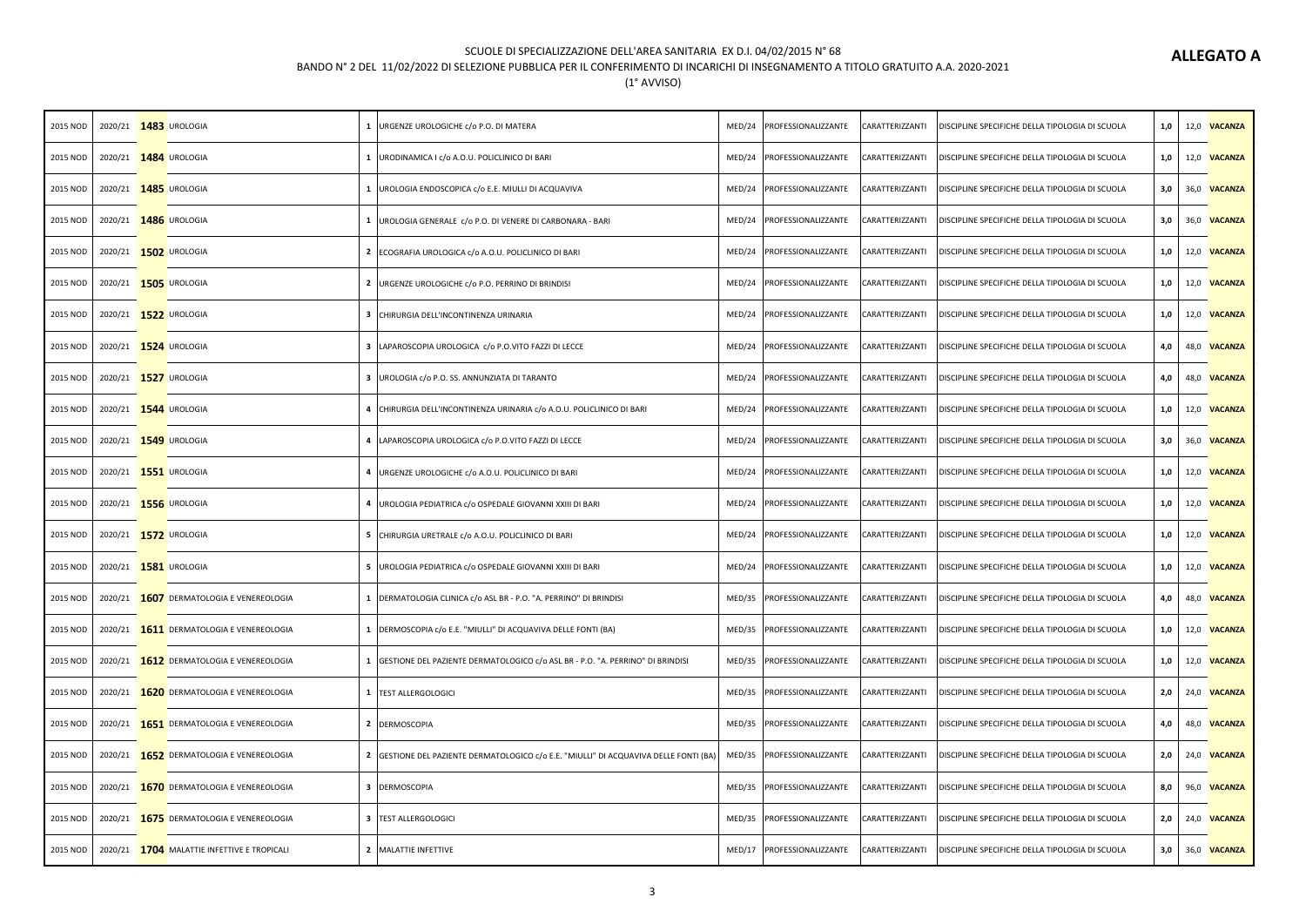# **ALLEGATO A**

### SCUOLE DI SPECIALIZZAZIONE DELL'AREA SANITARIA EX D.I. 04/02/2015 N° 68

## BANDO N° 2 DEL 11/02/2022 DI SELEZIONE PUBBLICA PER IL CONFERIMENTO DI INCARICHI DI INSEGNAMENTO A TITOLO GRATUITO A.A. 2020-2021

| 2015 NOD |  | 2020/21 1483 UROLOGIA                       | 1   URGENZE UROLOGICHE c/o P.O. DI MATERA                                             | MED/24 | PROFESSIONALIZZANTE          | CARATTERIZZANTI | DISCIPLINE SPECIFICHE DELLA TIPOLOGIA DI SCUOLA | 1,0   | 12,0 VACANZA        |
|----------|--|---------------------------------------------|---------------------------------------------------------------------------------------|--------|------------------------------|-----------------|-------------------------------------------------|-------|---------------------|
| 2015 NOD |  | 2020/21 1484 UROLOGIA                       | 1   URODINAMICA I c/o A.O.U. POLICLINICO DI BARI                                      | MED/24 | PROFESSIONALIZZANTE          | CARATTERIZZANTI | DISCIPLINE SPECIFICHE DELLA TIPOLOGIA DI SCUOLA | $1,0$ | 12,0 VACANZA        |
| 2015 NOD |  | 2020/21 1485 UROLOGIA                       | 1   UROLOGIA ENDOSCOPICA c/o E.E. MIULLI DI ACQUAVIVA                                 | MED/24 | PROFESSIONALIZZANTE          | CARATTERIZZANTI | DISCIPLINE SPECIFICHE DELLA TIPOLOGIA DI SCUOLA | 3,0   | 36,0 VACANZA        |
| 2015 NOD |  | 2020/21 1486 UROLOGIA                       | 1   UROLOGIA GENERALE C/O P.O. DI VENERE DI CARBONARA - BARI                          | MED/24 | PROFESSIONALIZZANTE          | CARATTERIZZANTI | DISCIPLINE SPECIFICHE DELLA TIPOLOGIA DI SCUOLA | 3,0   | 36,0 VACANZA        |
| 2015 NOD |  | 2020/21 1502 UROLOGIA                       | 2 ECOGRAFIA UROLOGICA c/o A.O.U. POLICLINICO DI BARI                                  |        | MED/24 PROFESSIONALIZZANTE   | CARATTERIZZANTI | DISCIPLINE SPECIFICHE DELLA TIPOLOGIA DI SCUOLA | 1,0   | 12,0 VACANZA        |
| 2015 NOD |  | 2020/21 1505 UROLOGIA                       | 2   URGENZE UROLOGICHE c/o P.O. PERRINO DI BRINDISI                                   | MED/24 | PROFESSIONALIZZANTE          | CARATTERIZZANTI | DISCIPLINE SPECIFICHE DELLA TIPOLOGIA DI SCUOLA | 1,0   | 12,0 VACANZA        |
| 2015 NOD |  | 2020/21 1522 UROLOGIA                       | 3 CHIRURGIA DELL'INCONTINENZA URINARIA                                                | MED/24 | PROFESSIONALIZZANTE          | CARATTERIZZANTI | DISCIPLINE SPECIFICHE DELLA TIPOLOGIA DI SCUOLA | 1,0   | 12,0 VACANZA        |
| 2015 NOD |  | 2020/21 1524 UROLOGIA                       | 3  LAPAROSCOPIA UROLOGICA c/o P.O.VITO FAZZI DI LECCE                                 | MED/24 | PROFESSIONALIZZANTE          | CARATTERIZZANTI | DISCIPLINE SPECIFICHE DELLA TIPOLOGIA DI SCUOLA | 4,0   | 48,0 VACANZA        |
| 2015 NOD |  | 2020/21 1527 UROLOGIA                       | 3   UROLOGIA c/o P.O. SS. ANNUNZIATA DI TARANTO                                       | MED/24 | PROFESSIONALIZZANTE          | CARATTERIZZANTI | DISCIPLINE SPECIFICHE DELLA TIPOLOGIA DI SCUOLA | 4,0   | 48,0 VACANZA        |
| 2015 NOD |  | 2020/21 1544 UROLOGIA                       | 4 CHIRURGIA DELL'INCONTINENZA URINARIA c/o A.O.U. POLICLINICO DI BARI                 | MED/24 | PROFESSIONALIZZANTE          | CARATTERIZZANTI | DISCIPLINE SPECIFICHE DELLA TIPOLOGIA DI SCUOLA | 1,0   | 12,0 VACANZA        |
| 2015 NOD |  | 2020/21 1549 UROLOGIA                       | 4 LAPAROSCOPIA UROLOGICA c/o P.O.VITO FAZZI DI LECCE                                  | MED/24 | PROFESSIONALIZZANTE          | CARATTERIZZANTI | DISCIPLINE SPECIFICHE DELLA TIPOLOGIA DI SCUOLA | 3,0   | 36,0 VACANZA        |
| 2015 NOD |  | 2020/21 1551 UROLOGIA                       | 4   URGENZE UROLOGICHE c/o A.O.U. POLICLINICO DI BARI                                 |        | MED/24   PROFESSIONALIZZANTE | CARATTERIZZANTI | DISCIPLINE SPECIFICHE DELLA TIPOLOGIA DI SCUOLA | 1,0   | 12,0 VACANZA        |
| 2015 NOD |  | 2020/21 1556 UROLOGIA                       | 4   UROLOGIA PEDIATRICA c/o OSPEDALE GIOVANNI XXIII DI BARI                           | MED/24 | PROFESSIONALIZZANTE          | CARATTERIZZANTI | DISCIPLINE SPECIFICHE DELLA TIPOLOGIA DI SCUOLA | $1,0$ | 12,0 VACANZA        |
| 2015 NOD |  | 2020/21 1572 UROLOGIA                       | 5 CHIRURGIA URETRALE c/o A.O.U. POLICLINICO DI BARI                                   | MED/24 | PROFESSIONALIZZANTE          | CARATTERIZZANTI | DISCIPLINE SPECIFICHE DELLA TIPOLOGIA DI SCUOLA | $1,0$ | 12,0 VACANZA        |
| 2015 NOD |  | 2020/21 1581 UROLOGIA                       | 5   UROLOGIA PEDIATRICA c/o OSPEDALE GIOVANNI XXIII DI BARI                           | MED/24 | PROFESSIONALIZZANTE          | CARATTERIZZANTI | DISCIPLINE SPECIFICHE DELLA TIPOLOGIA DI SCUOLA | 1,0   | 12,0 VACANZA        |
| 2015 NOD |  | 2020/21 1607 DERMATOLOGIA E VENEREOLOGIA    | 1 DERMATOLOGIA CLINICA c/o ASL BR - P.O. "A. PERRINO" DI BRINDISI                     | MED/35 | PROFESSIONALIZZANTE          | CARATTERIZZANTI | DISCIPLINE SPECIFICHE DELLA TIPOLOGIA DI SCUOLA | 4,0   | 48,0 VACANZA        |
| 2015 NOD |  | 2020/21 1611 DERMATOLOGIA E VENEREOLOGIA    | 1  DERMOSCOPIA c/o E.E. "MIULLI" DI ACQUAVIVA DELLE FONTI (BA)                        | MED/35 | PROFESSIONALIZZANTE          | CARATTERIZZANTI | DISCIPLINE SPECIFICHE DELLA TIPOLOGIA DI SCUOLA | 1,0   | 12,0 VACANZA        |
| 2015 NOD |  | 2020/21 1612 DERMATOLOGIA E VENEREOLOGIA    | 1 GESTIONE DEL PAZIENTE DERMATOLOGICO c/o ASL BR - P.O. "A. PERRINO" DI BRINDISI      | MED/35 | PROFESSIONALIZZANTE          | CARATTERIZZANTI | DISCIPLINE SPECIFICHE DELLA TIPOLOGIA DI SCUOLA | $1,0$ | 12,0 VACANZA        |
| 2015 NOD |  | 2020/21 1620 DERMATOLOGIA E VENEREOLOGIA    | 1 TEST ALLERGOLOGICI                                                                  | MED/35 | PROFESSIONALIZZANTE          | CARATTERIZZANTI | DISCIPLINE SPECIFICHE DELLA TIPOLOGIA DI SCUOLA | 2,0   | 24,0 <b>VACANZA</b> |
| 2015 NOD |  | 2020/21 1651 DERMATOLOGIA E VENEREOLOGIA    | 2 DERMOSCOPIA                                                                         | MED/35 | PROFESSIONALIZZANTE          | CARATTERIZZANTI | DISCIPLINE SPECIFICHE DELLA TIPOLOGIA DI SCUOLA | 4,0   | 48,0 VACANZA        |
| 2015 NOD |  | 2020/21 1652 DERMATOLOGIA E VENEREOLOGIA    | 2 GESTIONE DEL PAZIENTE DERMATOLOGICO c/o E.E. "MIULLI" DI ACQUAVIVA DELLE FONTI (BA) | MED/35 | PROFESSIONALIZZANTE          | CARATTERIZZANTI | DISCIPLINE SPECIFICHE DELLA TIPOLOGIA DI SCUOLA | 2,0   | 24,0 VACANZA        |
| 2015 NOD |  | 2020/21 1670 DERMATOLOGIA E VENEREOLOGIA    | 3 DERMOSCOPIA                                                                         | MED/35 | PROFESSIONALIZZANTE          | CARATTERIZZANTI | DISCIPLINE SPECIFICHE DELLA TIPOLOGIA DI SCUOLA | 8,0   | 96,0 VACANZA        |
| 2015 NOD |  | 2020/21 1675 DERMATOLOGIA E VENEREOLOGIA    | 3 TEST ALLERGOLOGICI                                                                  | MED/35 | PROFESSIONALIZZANTE          | CARATTERIZZANTI | DISCIPLINE SPECIFICHE DELLA TIPOLOGIA DI SCUOLA | 2,0   | 24,0 <b>VACANZA</b> |
| 2015 NOD |  | 2020/21 1704 MALATTIE INFETTIVE E TROPICALI | 2 MALATTIE INFETTIVE                                                                  | MED/17 | PROFESSIONALIZZANTE          | CARATTERIZZANTI | DISCIPLINE SPECIFICHE DELLA TIPOLOGIA DI SCUOLA | 3,0   | 36,0 VACANZA        |